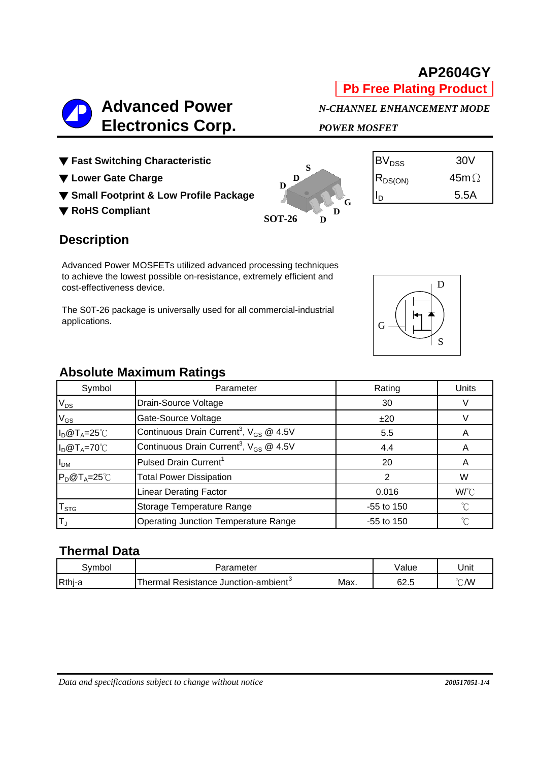**SOT-26**

**D**

# **Electronics Corp.** *POWER MOSFET*

G



| $\mathsf{BV}_{\texttt{DSS}}$ | 30V          |
|------------------------------|--------------|
| $ R_{DS(ON)}$                | 45m $\Omega$ |
|                              | 5.5A         |

D

S

#### **Description**

Advanced Power MOSFETs utilized advanced processing techniques to achieve the lowest possible on-resistance, extremely efficient and cost-effectiveness device.

The S0T-26 package is universally used for all commercial-industrial applications.

# **Absolute Maximum Ratings**

| Symbol               | Parameter                                               | Rating       | Units       |  |
|----------------------|---------------------------------------------------------|--------------|-------------|--|
| $V_{DS}$             | Drain-Source Voltage                                    | 30           |             |  |
| $V_{GS}$             | Gate-Source Voltage                                     | ±20          |             |  |
| $I_D@T_A=25°C$       | Continuous Drain Current <sup>3</sup> , $V_{GS}$ @ 4.5V | 5.5          | A           |  |
| $I_D@T_A=70°C$       | Continuous Drain Current <sup>3</sup> , $V_{GS}$ @ 4.5V | 4.4          | A           |  |
| I <sub>DM</sub>      | Pulsed Drain Current <sup>1</sup>                       | 20           | A           |  |
| $P_D@T_A=25^\circ C$ | <b>Total Power Dissipation</b>                          | 2            | W           |  |
|                      | <b>Linear Derating Factor</b>                           | 0.016        | W/°C        |  |
| $T_{STG}$            | Storage Temperature Range                               | $-55$ to 150 | $^{\circ}C$ |  |
| ΙT,                  | Operating Junction Temperature Range                    | $-55$ to 150 | °C          |  |

### **Thermal Data**

| svmbol | 'arameter                                           |      | Value | Unit          |  |
|--------|-----------------------------------------------------|------|-------|---------------|--|
| Rthj-a | Resistance Junction-ambient <sup>3</sup><br>`hermai | Max. | 62.5  | $\degree$ C/W |  |



**AP2604GY**

**Pb Free Plating Product**

 **Advanced Power** *N-CHANNEL ENHANCEMENT MODE*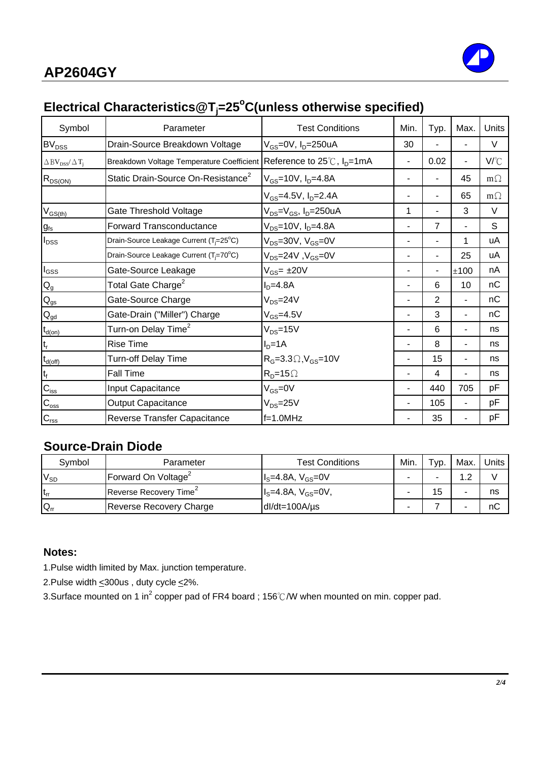

## **Electrical Characteristics@Tj =25o C(unless otherwise specified)**

| Symbol                                                     | Parameter                                                                       | <b>Test Conditions</b>                    | Min.           | Typ.           | Max.                     | Units     |
|------------------------------------------------------------|---------------------------------------------------------------------------------|-------------------------------------------|----------------|----------------|--------------------------|-----------|
| $BV_{DSS}$                                                 | Drain-Source Breakdown Voltage                                                  | $V_{GS}$ =0V, $I_D$ =250uA                | 30             |                | $\blacksquare$           | V         |
| $\triangle$ BV <sub>DSS</sub> / $\triangle$ T <sub>i</sub> | Breakdown Voltage Temperature Coefficient Reference to 25℃, I <sub>D</sub> =1mA |                                           | $\blacksquare$ | 0.02           | $\overline{\phantom{a}}$ | V/°C      |
| $R_{DS(ON)$                                                | Static Drain-Source On-Resistance <sup>2</sup>                                  | $V_{GS}$ =10V, $I_{D}$ =4.8A              |                |                | 45                       | $m\Omega$ |
|                                                            |                                                                                 | $V_{GS}$ =4.5V, $I_D$ =2.4A               |                |                | 65                       | $m\Omega$ |
| $\mathsf{V}_{\mathsf{GS}(\mathsf{th})}$                    | Gate Threshold Voltage                                                          | $V_{DS} = V_{GS}$ , I <sub>D</sub> =250uA | 1              |                | 3                        | $\vee$    |
| $g_{\rm fs}$                                               | <b>Forward Transconductance</b>                                                 | $V_{DS} = 10V$ , $I_D = 4.8A$             | $\blacksquare$ | $\overline{7}$ |                          | S         |
| $I_{\text{DSS}}$                                           | Drain-Source Leakage Current (T <sub>i</sub> =25°C)                             | $V_{DS}$ =30V, $V_{GS}$ =0V               |                |                | 1                        | uA        |
|                                                            | Drain-Source Leakage Current (T <sub>i</sub> =70°C)                             | $V_{DS}$ =24V, $V_{GS}$ =0V               |                |                | 25                       | uA        |
| $\mathsf{I}_{\mathsf{GSS}}$                                | Gate-Source Leakage                                                             | $V_{GS}$ = $\pm 20V$                      |                |                | ±100                     | nA        |
| $Q_g$                                                      | Total Gate Charge <sup>2</sup>                                                  | $ID=4.8A$                                 |                | 6              | 10                       | nC        |
| $Q_{gs}$                                                   | Gate-Source Charge                                                              | $V_{DS} = 24V$                            | ٠              | $\overline{2}$ | $\blacksquare$           | nC        |
| $Q_{gd}$                                                   | Gate-Drain ("Miller") Charge                                                    | $V_{GS} = 4.5V$                           |                | 3              |                          | nC        |
| $t_{d(on)}$                                                | Turn-on Delay Time <sup>2</sup>                                                 | $V_{DS} = 15V$                            |                | 6              |                          | ns        |
|                                                            | <b>Rise Time</b>                                                                | $ID=1A$                                   |                | 8              |                          | ns        |
| $t_{d(\text{off})}$                                        | Turn-off Delay Time                                                             | $RG=3.3\Omega, VGS=10V$                   |                | 15             | $\blacksquare$           | ns        |
| $t_f$                                                      | <b>Fall Time</b>                                                                | $RD=15\Omega$                             |                | 4              |                          | ns        |
| $C_{\text{iss}}$                                           | Input Capacitance                                                               | $V_{GS} = 0V$                             | ٠              | 440            | 705                      | pF        |
| $\mathsf{C}_{\mathrm{oss}}$                                | <b>Output Capacitance</b>                                                       | $V_{DS} = 25V$                            |                | 105            | $\overline{\phantom{a}}$ | pF        |
| $C_{\text{rss}}$                                           | Reverse Transfer Capacitance                                                    | $f=1.0MHz$                                |                | 35             |                          | pF        |

#### **Source-Drain Diode**

| Symbol   | Parameter                          | <b>Test Conditions</b>    | Min. | $\tau_{VD}$ . | Max. | Units I |
|----------|------------------------------------|---------------------------|------|---------------|------|---------|
| $V_{SD}$ | Forward On Voltage <sup>2</sup>    | $I_s = 4.8A, V_{GS} = 0V$ |      |               | റ    |         |
| Lrr      | Reverse Recovery Time <sup>2</sup> | $Is=4.8A, VGS=0V,$        |      | 15            |      | ns      |
| $Q_{rr}$ | Reverse Recovery Charge            | $dl/dt = 100A/\mu s$      |      |               |      | nC      |

#### **Notes:**

1.Pulse width limited by Max. junction temperature.

2.Pulse width  $\leq$  300us, duty cycle  $\leq$  2%.

3.Surface mounted on 1 in<sup>2</sup> copper pad of FR4 board ; 156℃/W when mounted on min. copper pad.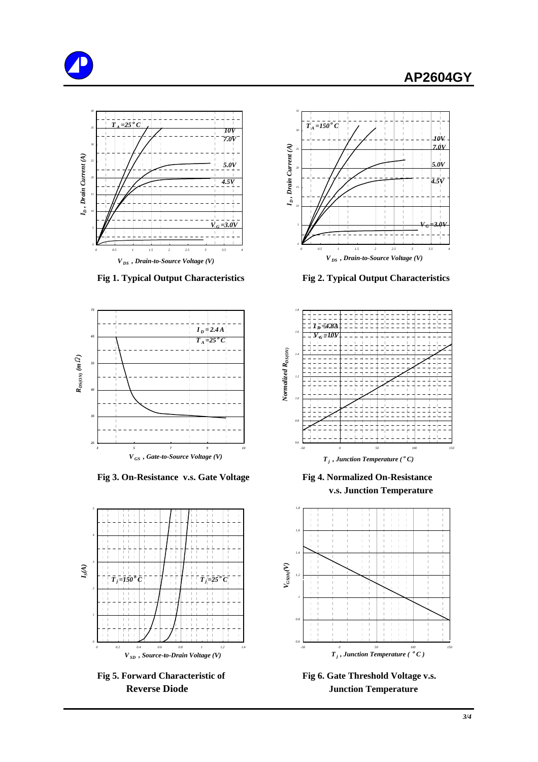





 **Fig 3. On-Resistance v.s. Gate Voltage Fig 4. Normalized On-Resistance**





 **Fig 1. Typical Output Characteristics Fig 2. Typical Output Characteristics**



 **v.s. Junction Temperature**



Fig 5. Forward Characteristic of Fig 6. Gate Threshold Voltage v.s. **Reverse Diode Serverse Diode Access** Junction Temperature